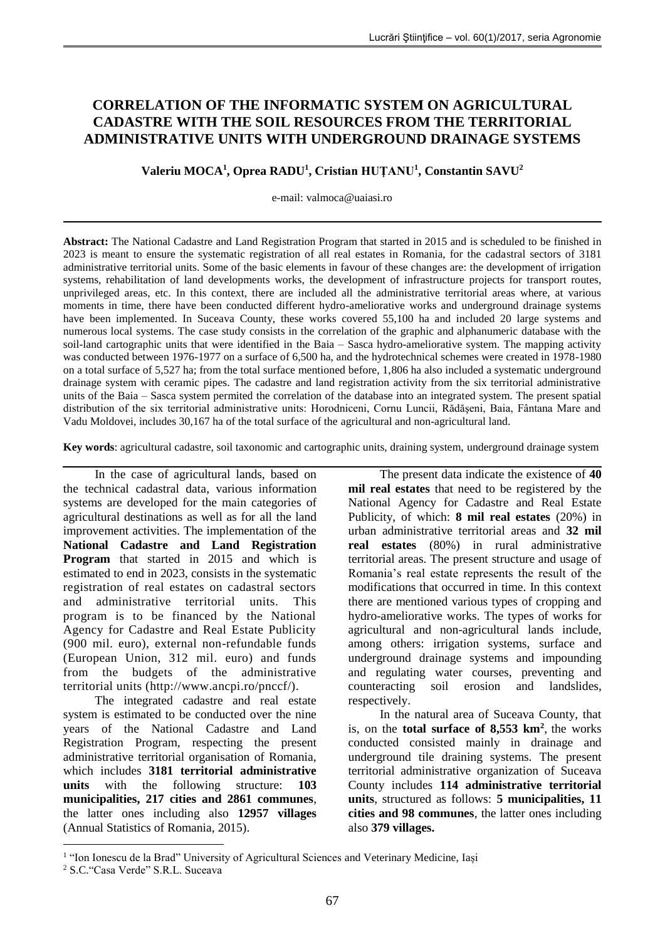# **CORRELATION OF THE INFORMATIC SYSTEM ON AGRICULTURAL CADASTRE WITH THE SOIL RESOURCES FROM THE TERRITORIAL ADMINISTRATIVE UNITS WITH UNDERGROUND DRAINAGE SYSTEMS**

**Valeriu MOCA<sup>1</sup> , Oprea RADU<sup>1</sup> , Cristian HUŢANU<sup>1</sup> , Constantin SAVU<sup>2</sup>**

e-mail: [valmoca@uaiasi.ro](mailto:valmoca@uaiasi.ro)

**Abstract:** The National Cadastre and Land Registration Program that started in 2015 and is scheduled to be finished in 2023 is meant to ensure the systematic registration of all real estates in Romania, for the cadastral sectors of 3181 administrative territorial units. Some of the basic elements in favour of these changes are: the development of irrigation systems, rehabilitation of land developments works, the development of infrastructure projects for transport routes, unprivileged areas, etc. In this context, there are included all the administrative territorial areas where, at various moments in time, there have been conducted different hydro-ameliorative works and underground drainage systems have been implemented. In Suceava County, these works covered 55,100 ha and included 20 large systems and numerous local systems. The case study consists in the correlation of the graphic and alphanumeric database with the soil-land cartographic units that were identified in the Baia – Sasca hydro-ameliorative system. The mapping activity was conducted between 1976-1977 on a surface of 6,500 ha, and the hydrotechnical schemes were created in 1978-1980 on a total surface of 5,527 ha; from the total surface mentioned before, 1,806 ha also included a systematic underground drainage system with ceramic pipes. The cadastre and land registration activity from the six territorial administrative units of the Baia – Sasca system permited the correlation of the database into an integrated system. The present spatial distribution of the six territorial administrative units: Horodniceni, Cornu Luncii, Rădăşeni, Baia, Fântana Mare and Vadu Moldovei, includes 30,167 ha of the total surface of the agricultural and non-agricultural land.

**Key words**: agricultural cadastre, soil taxonomic and cartographic units, draining system, underground drainage system

In the case of agricultural lands, based on the technical cadastral data, various information systems are developed for the main categories of agricultural destinations as well as for all the land improvement activities. The implementation of the **National Cadastre and Land Registration Program** that started in 2015 and which is estimated to end in 2023, consists in the systematic registration of real estates on cadastral sectors and administrative territorial units. This program is to be financed by the National Agency for Cadastre and Real Estate Publicity (900 mil. euro), external non-refundable funds (European Union, 312 mil. euro) and funds from the budgets of the administrative territorial units (http://www.ancpi.ro/pnccf/).

The integrated cadastre and real estate system is estimated to be conducted over the nine years of the National Cadastre and Land Registration Program, respecting the present administrative territorial organisation of Romania, which includes **3181 territorial administrative units** with the following structure: **103 municipalities, 217 cities and 2861 communes**, the latter ones including also **12957 villages**  (Annual Statistics of Romania, 2015).

The present data indicate the existence of **40 mil real estates** that need to be registered by the National Agency for Cadastre and Real Estate Publicity, of which: **8 mil real estates** (20%) in urban administrative territorial areas and **32 mil real estates** (80%) in rural administrative territorial areas. The present structure and usage of Romania's real estate represents the result of the modifications that occurred in time. In this context there are mentioned various types of cropping and hydro-ameliorative works. The types of works for agricultural and non-agricultural lands include, among others: irrigation systems, surface and underground drainage systems and impounding and regulating water courses, preventing and counteracting soil erosion and landslides, respectively.

In the natural area of Suceava County, that is, on the **total surface of 8,553 km<sup>2</sup>** , the works conducted consisted mainly in drainage and underground tile draining systems. The present territorial administrative organization of Suceava County includes **114 administrative territorial units**, structured as follows: **5 municipalities, 11 cities and 98 communes**, the latter ones including also **379 villages.** 

<u>.</u>

<sup>&</sup>lt;sup>1</sup> "Ion Ionescu de la Brad" University of Agricultural Sciences and Veterinary Medicine, Iași

<sup>2</sup> S.C."Casa Verde" S.R.L. Suceava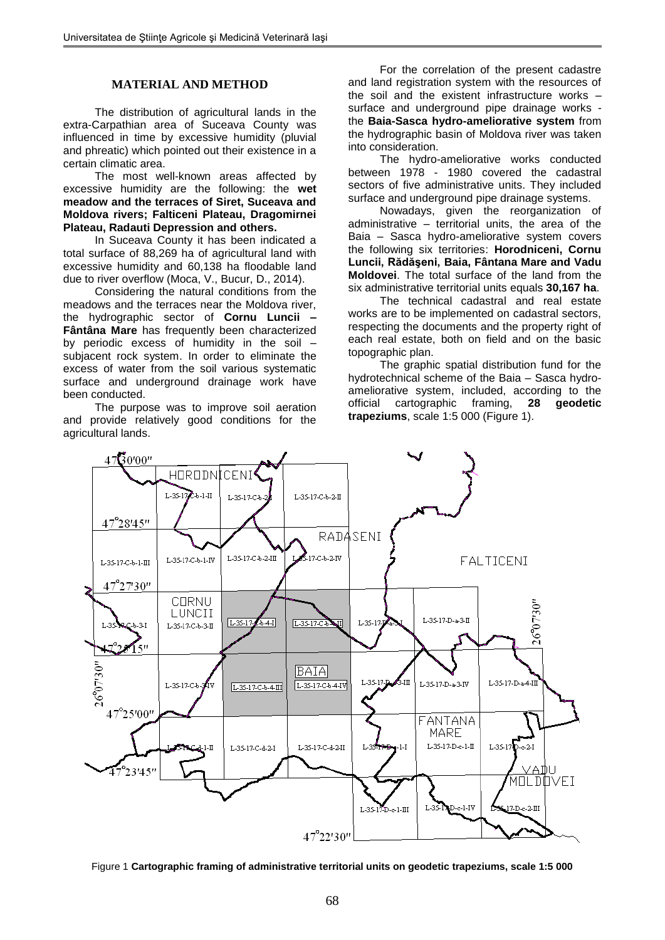### **MATERIAL AND METHOD**

The distribution of agricultural lands in the extra-Carpathian area of Suceava County was influenced in time by excessive humidity (pluvial and phreatic) which pointed out their existence in a certain climatic area.

The most well-known areas affected by excessive humidity are the following: the **wet meadow and the terraces of Siret, Suceava and Moldova rivers; Falticeni Plateau, Dragomirnei Plateau, Radauti Depression and others.**

In Suceava County it has been indicated a total surface of 88,269 ha of agricultural land with excessive humidity and 60,138 ha floodable land due to river overflow (Moca, V., Bucur, D., 2014).

Considering the natural conditions from the meadows and the terraces near the Moldova river, the hydrographic sector of **Cornu Luncii – Fântâna Mare** has frequently been characterized by periodic excess of humidity in the soil – subjacent rock system. In order to eliminate the excess of water from the soil various systematic surface and underground drainage work have been conducted.

The purpose was to improve soil aeration and provide relatively good conditions for the agricultural lands.

For the correlation of the present cadastre and land registration system with the resources of the soil and the existent infrastructure works – surface and underground pipe drainage works the **Baia-Sasca hydro-ameliorative system** from the hydrographic basin of Moldova river was taken into consideration.

The hydro-ameliorative works conducted between 1978 - 1980 covered the cadastral sectors of five administrative units. They included surface and underground pipe drainage systems.

Nowadays, given the reorganization of administrative – territorial units, the area of the Baia – Sasca hydro-ameliorative system covers the following six territories: **Horodniceni, Cornu Luncii, Rădăşeni, Baia, Fântana Mare and Vadu Moldovei**. The total surface of the land from the six administrative territorial units equals **30,167 ha**.

The technical cadastral and real estate works are to be implemented on cadastral sectors. respecting the documents and the property right of each real estate, both on field and on the basic topographic plan.

The graphic spatial distribution fund for the hydrotechnical scheme of the Baia – Sasca hydroameliorative system, included, according to the official cartographic framing, **28 geodetic trapeziums**, scale 1:5 000 (Figure 1).



Figure 1 **Cartographic framing of administrative territorial units on geodetic trapeziums, scale 1:5 000**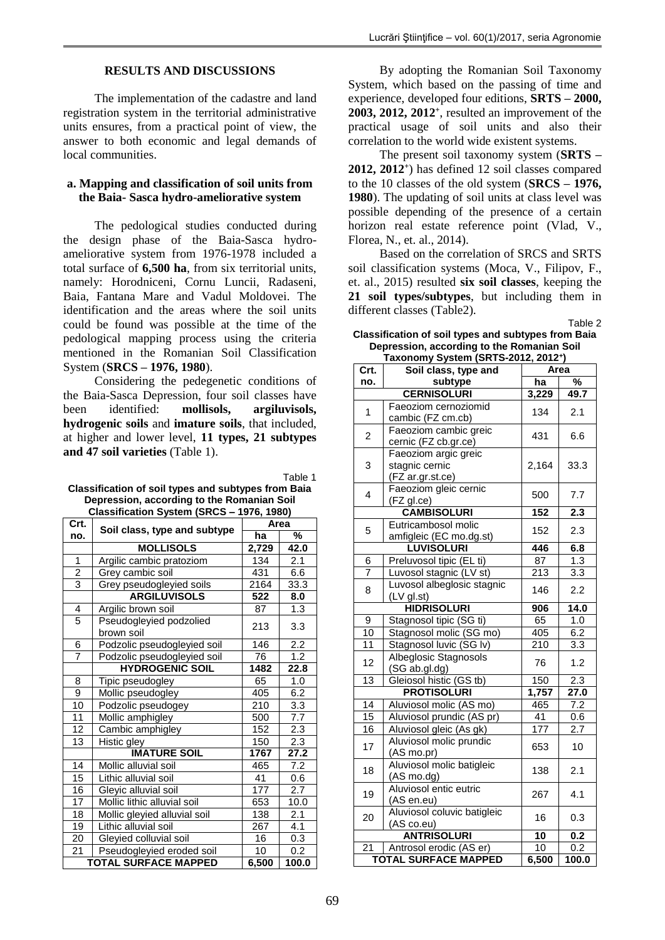### **RESULTS AND DISCUSSIONS**

The implementation of the cadastre and land registration system in the territorial administrative units ensures, from a practical point of view, the answer to both economic and legal demands of local communities.

# **a. Mapping and classification of soil units from the Baia- Sasca hydro-ameliorative system**

The pedological studies conducted during the design phase of the Baia-Sasca hydroameliorative system from 1976-1978 included a total surface of **6,500 ha**, from six territorial units, namely: Horodniceni, Cornu Luncii, Radaseni, Baia, Fantana Mare and Vadul Moldovei. The identification and the areas where the soil units could be found was possible at the time of the pedological mapping process using the criteria mentioned in the Romanian Soil Classification System (**SRCS – 1976, 1980**).

Considering the pedegenetic conditions of the Baia-Sasca Depression, four soil classes have been identified: **mollisols, argiluvisols, hydrogenic soils** and **imature soils**, that included, at higher and lower level, **11 types, 21 subtypes and 47 soil varieties** (Table 1).

| Гаblе ∶ |  |
|---------|--|
|---------|--|

| Classification of soil types and subtypes from Baia |
|-----------------------------------------------------|
| Depression, according to the Romanian Soil          |
| Classification System (SRCS - 1976, 1980)           |

| Crt.                    |                                       | Area  |       |
|-------------------------|---------------------------------------|-------|-------|
| no.                     | Soil class, type and subtype          | ha    | %     |
|                         | <b>MOLLISOLS</b>                      | 2,729 | 42.0  |
| 1                       | Argilic cambic pratoziom              | 134   | 2.1   |
| $\overline{\mathbf{c}}$ | Grey cambic soil                      | 431   | 6.6   |
| $\overline{3}$          | Grey pseudogleyied soils              | 2164  | 33.3  |
|                         | <b>ARGILUVISOLS</b>                   | 522   | 8.0   |
| 4                       | Argilic brown soil                    | 87    | 1.3   |
| 5                       | Pseudogleyied podzolied<br>brown soil | 213   | 3.3   |
| 6                       | Podzolic pseudogleyied soil           | 146   | 2.2   |
| $\overline{7}$          | Podzolic pseudogleyied soil           | 76    | 1.2   |
|                         | <b>HYDROGENIC SOIL</b>                | 1482  | 22.8  |
| 8                       | Tipic pseudogley                      | 65    | 1.0   |
| 9                       | Mollic pseudogley                     | 405   | 6.2   |
| 10                      | Podzolic pseudogey                    | 210   | 3.3   |
| 11                      | Mollic amphigley                      | 500   | 7.7   |
| 12                      | Cambic amphigley                      | 152   | 2.3   |
| 13                      | Histic gley                           | 150   | 2.3   |
|                         | <b>IMATURE SOIL</b>                   | 1767  | 27.2  |
| 14                      | Mollic alluvial soil                  | 465   | 7.2   |
| 15                      | Lithic alluvial soil                  | 41    | 0.6   |
| 16                      | Gleyic alluvial soil                  | 177   | 2.7   |
| 17                      | Mollic lithic alluvial soil           | 653   | 10.0  |
| 18                      | Mollic gleyied alluvial soil          | 138   | 2.1   |
| 19                      | Lithic alluvial soil                  | 267   | 4.1   |
| 20                      | Gleyied colluvial soil                | 16    | 0.3   |
| 21                      | Pseudogleyied eroded soil             | 10    | 0.2   |
|                         | <b>TOTAL SURFACE MAPPED</b>           | 6,500 | 100.0 |

By adopting the Romanian Soil Taxonomy System, which based on the passing of time and experience, developed four editions, **SRTS – 2000, 2003, 2012, 2012<sup>+</sup>** , resulted an improvement of the practical usage of soil units and also their correlation to the world wide existent systems.

The present soil taxonomy system (**SRTS – 2012, 2012<sup>+</sup>** ) has defined 12 soil classes compared to the 10 classes of the old system (**SRCS – 1976, 1980**). The updating of soil units at class level was possible depending of the presence of a certain horizon real estate reference point (Vlad, V., Florea, N., et. al., 2014).

Based on the correlation of SRCS and SRTS soil classification systems (Moca, V., Filipov, F., et. al., 2015) resulted **six soil classes**, keeping the **21 soil types/subtypes**, but including them in different classes (Table2).

**Classification of soil types and subtypes from Baia Depression, according to the Romanian Soil Taxonomy System (SRTS-2012, 2012<sup>+</sup>**

Table 2

| Taxonomy System (SRTS-2012, 2012*) |                             |                   |                   |  |  |
|------------------------------------|-----------------------------|-------------------|-------------------|--|--|
| Crt.                               | Soil class, type and        |                   | Area              |  |  |
| no.                                | subtype                     | ha                | $\overline{\%}$   |  |  |
|                                    | <b>CERNISOLURI</b>          | 3,229             | 49.7              |  |  |
| 1                                  | Faeoziom cernoziomid        | 134               | 2.1               |  |  |
|                                    | cambic (FZ cm.cb)           |                   |                   |  |  |
| $\overline{c}$                     | Faeoziom cambic greic       | 431               | 6.6               |  |  |
|                                    | cernic (FZ cb.gr.ce)        |                   |                   |  |  |
| 3                                  | Faeoziom argic greic        |                   |                   |  |  |
|                                    | stagnic cernic              | 2,164             | 33.3              |  |  |
|                                    | (FZ ar.gr.st.ce)            |                   |                   |  |  |
| 4                                  | Faeoziom gleic cernic       | 500               | 7.7               |  |  |
|                                    | (FZ gl.ce)                  |                   |                   |  |  |
|                                    | <b>CAMBISOLURI</b>          | 152               | 2.3               |  |  |
| 5                                  | Eutricambosol molic         | 152               | 2.3               |  |  |
|                                    | amfigleic (EC mo.dg.st)     |                   |                   |  |  |
|                                    | <b>LUVISOLURI</b>           | 446               | 6.8               |  |  |
| 6                                  | Preluvosol tipic (EL ti)    | 87                | 1.3               |  |  |
| $\overline{7}$                     | Luvosol stagnic (LV st)     | $\overline{2}$ 13 | 3.3               |  |  |
| 8                                  | Luvosol albeglosic stagnic  | 146               | 2.2               |  |  |
|                                    | $(LV$ gl.st)                |                   |                   |  |  |
|                                    | <b>HIDRISOLURI</b>          | 906               | $\overline{1}4.0$ |  |  |
| 9                                  | Stagnosol tipic (SG ti)     | 65                | 1.0               |  |  |
| 10                                 | Stagnosol molic (SG mo)     | 405               | 6.2               |  |  |
| 11                                 | Stagnosol luvic (SG lv)     | 210               | 3.3               |  |  |
|                                    | Albeglosic Stagnosols       |                   |                   |  |  |
| 12                                 | (SG ab.gl.dg)               | 76                | 1.2               |  |  |
| $\overline{13}$                    | Gleiosol histic (GS tb)     | 150               | 2.3               |  |  |
|                                    | <b>PROTISOLURI</b>          | 1,757             | 27.0              |  |  |
| 14                                 | Aluviosol molic (AS mo)     | 465               | 7.2               |  |  |
| 15                                 | Aluviosol prundic (AS pr)   | 41                | 0.6               |  |  |
| 16                                 | Aluviosol gleic (As gk)     | 177               | 2.7               |  |  |
|                                    | Aluviosol molic prundic     |                   |                   |  |  |
| 17                                 | (AS mo.pr)                  | 653               | 10                |  |  |
|                                    | Aluviosol molic batigleic   |                   |                   |  |  |
| 18                                 | $(AS \text{ mod } q)$       | 138               | 2.1               |  |  |
|                                    | Aluviosol entic eutric      |                   |                   |  |  |
| 19                                 | (AS en.eu)                  | 267               | 4.1               |  |  |
| 20                                 | Aluviosol coluvic batigleic |                   |                   |  |  |
|                                    | (AS co.eu)                  | 16                | 0.3               |  |  |
| <b>ANTRISOLURI</b><br>10<br>0.2    |                             |                   |                   |  |  |
| 21                                 | Antrosol erodic (AS er)     | 10                | 0.2               |  |  |
|                                    | <b>TOTAL SURFACE MAPPED</b> | 6,500             | 100.0             |  |  |
|                                    |                             |                   |                   |  |  |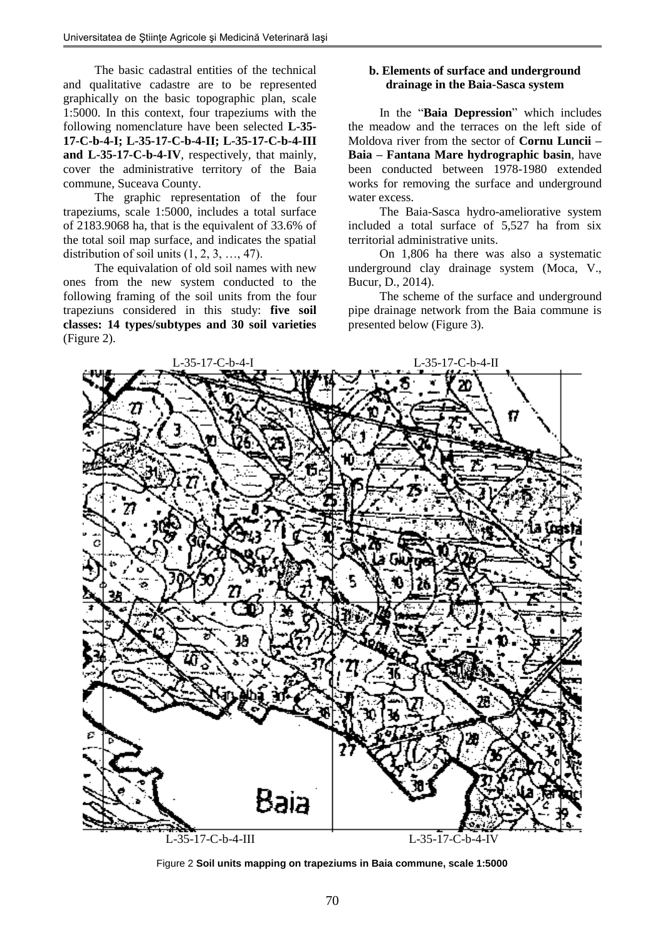The basic cadastral entities of the technical and qualitative cadastre are to be represented graphically on the basic topographic plan, scale 1:5000. In this context, four trapeziums with the following nomenclature have been selected **L-35- 17-C-b-4-I; L-35-17-C-b-4-II; L-35-17-C-b-4-III and L-35-17-C-b-4-IV**, respectively, that mainly, cover the administrative territory of the Baia commune, Suceava County.

The graphic representation of the four trapeziums, scale 1:5000, includes a total surface of 2183.9068 ha, that is the equivalent of 33.6% of the total soil map surface, and indicates the spatial distribution of soil units (1, 2, 3, …, 47).

The equivalation of old soil names with new ones from the new system conducted to the following framing of the soil units from the four trapeziuns considered in this study: **five soil classes: 14 types/subtypes and 30 soil varieties** (Figure 2).

# **b. Elements of surface and underground drainage in the Baia-Sasca system**

In the "**Baia Depression**" which includes the meadow and the terraces on the left side of Moldova river from the sector of **Cornu Luncii – Baia – Fantana Mare hydrographic basin**, have been conducted between 1978-1980 extended works for removing the surface and underground water excess.

The Baia-Sasca hydro-ameliorative system included a total surface of 5,527 ha from six territorial administrative units.

On 1,806 ha there was also a systematic underground clay drainage system (Moca, V., Bucur, D., 2014).

The scheme of the surface and underground pipe drainage network from the Baia commune is presented below (Figure 3).



Figure 2 **Soil units mapping on trapeziums in Baia commune, scale 1:5000**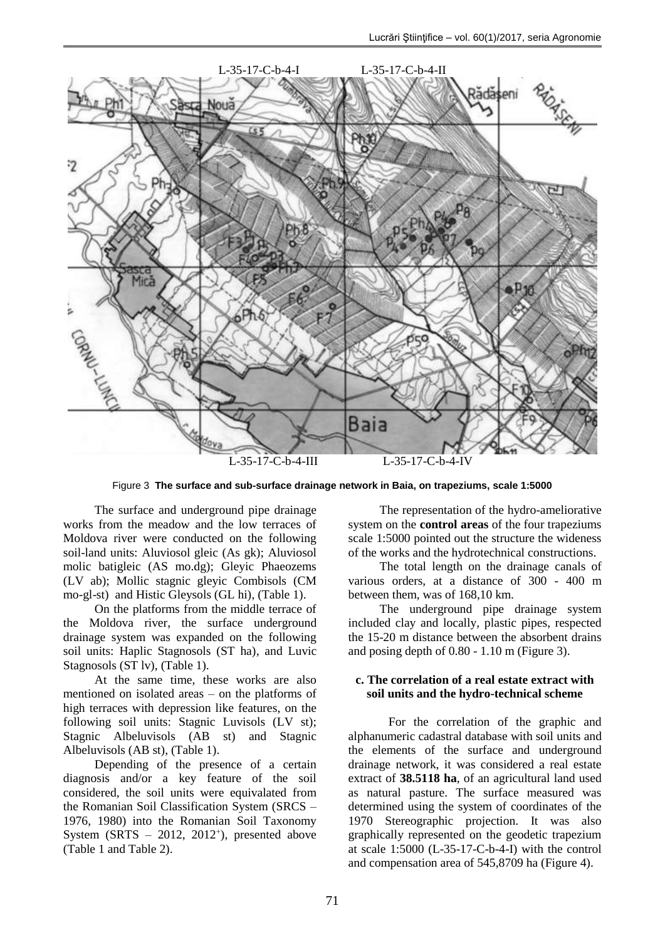

Figure 3 **The surface and sub-surface drainage network in Baia, on trapeziums, scale 1:5000**

The surface and underground pipe drainage works from the meadow and the low terraces of Moldova river were conducted on the following soil-land units: Aluviosol gleic (As gk); Aluviosol molic batigleic (AS mo.dg); Gleyic Phaeozems (LV ab); Mollic stagnic gleyic Combisols (CM mo-gl-st) and Histic Gleysols (GL hi), (Table 1).

On the platforms from the middle terrace of the Moldova river, the surface underground drainage system was expanded on the following soil units: Haplic Stagnosols (ST ha), and Luvic Stagnosols (ST lv), (Table 1).

At the same time, these works are also mentioned on isolated areas – on the platforms of high terraces with depression like features, on the following soil units: Stagnic Luvisols (LV st); Stagnic Albeluvisols (AB st) and Stagnic Albeluvisols (AB st), (Table 1).

Depending of the presence of a certain diagnosis and/or a key feature of the soil considered, the soil units were equivalated from the Romanian Soil Classification System (SRCS – 1976, 1980) into the Romanian Soil Taxonomy System (SRTS  $-$  2012, 2012<sup>+</sup>), presented above (Table 1 and Table 2).

The representation of the hydro-ameliorative system on the **control areas** of the four trapeziums scale 1:5000 pointed out the structure the wideness of the works and the hydrotechnical constructions.

The total length on the drainage canals of various orders, at a distance of 300 - 400 m between them, was of 168,10 km.

The underground pipe drainage system included clay and locally, plastic pipes, respected the 15-20 m distance between the absorbent drains and posing depth of 0.80 - 1.10 m (Figure 3).

# **c. The correlation of a real estate extract with soil units and the hydro-technical scheme**

For the correlation of the graphic and alphanumeric cadastral database with soil units and the elements of the surface and underground drainage network, it was considered a real estate extract of **38.5118 ha**, of an agricultural land used as natural pasture. The surface measured was determined using the system of coordinates of the 1970 Stereographic projection. It was also graphically represented on the geodetic trapezium at scale 1:5000 (L-35-17-C-b-4-I) with the control and compensation area of 545,8709 ha (Figure 4).